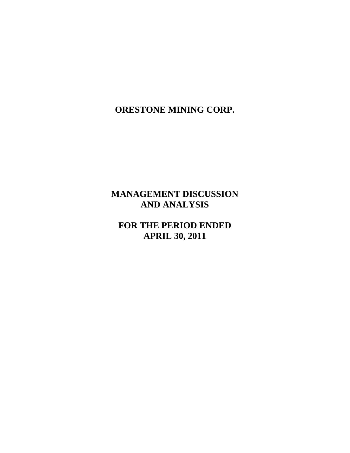# **MANAGEMENT DISCUSSION AND ANALYSIS**

**FOR THE PERIOD ENDED APRIL 30, 2011**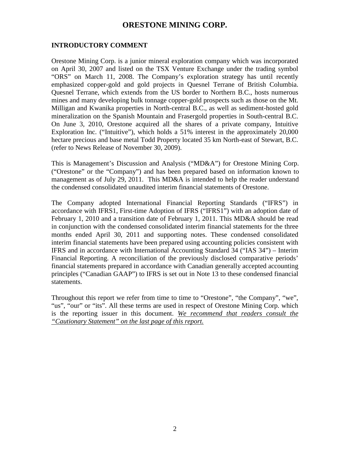### **INTRODUCTORY COMMENT**

Orestone Mining Corp. is a junior mineral exploration company which was incorporated on April 30, 2007 and listed on the TSX Venture Exchange under the trading symbol "ORS" on March 11, 2008. The Company's exploration strategy has until recently emphasized copper-gold and gold projects in Quesnel Terrane of British Columbia. Quesnel Terrane, which extends from the US border to Northern B.C., hosts numerous mines and many developing bulk tonnage copper-gold prospects such as those on the Mt. Milligan and Kwanika properties in North-central B.C., as well as sediment-hosted gold mineralization on the Spanish Mountain and Frasergold properties in South-central B.C. On June 3, 2010, Orestone acquired all the shares of a private company, Intuitive Exploration Inc. ("Intuitive"), which holds a 51% interest in the approximately 20,000 hectare precious and base metal Todd Property located 35 km North-east of Stewart, B.C. (refer to News Release of November 30, 2009).

This is Management's Discussion and Analysis ("MD&A") for Orestone Mining Corp. ("Orestone" or the "Company") and has been prepared based on information known to management as of July 29, 2011. This MD&A is intended to help the reader understand the condensed consolidated unaudited interim financial statements of Orestone.

The Company adopted International Financial Reporting Standards ("IFRS") in accordance with IFRS1, First-time Adoption of IFRS ("IFRS1") with an adoption date of February 1, 2010 and a transition date of February 1, 2011. This MD&A should be read in conjunction with the condensed consolidated interim financial statements for the three months ended April 30, 2011 and supporting notes. These condensed consolidated interim financial statements have been prepared using accounting policies consistent with IFRS and in accordance with International Accounting Standard 34 ("IAS 34") – Interim Financial Reporting. A reconciliation of the previously disclosed comparative periods' financial statements prepared in accordance with Canadian generally accepted accounting principles ("Canadian GAAP") to IFRS is set out in Note 13 to these condensed financial statements.

Throughout this report we refer from time to time to "Orestone", "the Company", "we", "us", "our" or "its". All these terms are used in respect of Orestone Mining Corp. which is the reporting issuer in this document. *We recommend that readers consult the "Cautionary Statement" on the last page of this report.*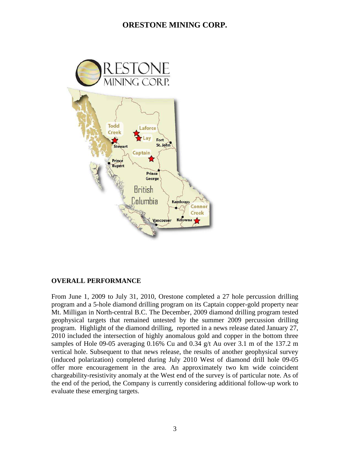

#### **OVERALL PERFORMANCE**

From June 1, 2009 to July 31, 2010, Orestone completed a 27 hole percussion drilling program and a 5-hole diamond drilling program on its Captain copper-gold property near Mt. Milligan in North-central B.C. The December, 2009 diamond drilling program tested geophysical targets that remained untested by the summer 2009 percussion drilling program. Highlight of the diamond drilling, reported in a news release dated January 27, 2010 included the intersection of highly anomalous gold and copper in the bottom three samples of Hole 09-05 averaging 0.16% Cu and 0.34 g/t Au over 3.1 m of the 137.2 m vertical hole. Subsequent to that news release, the results of another geophysical survey (induced polarization) completed during July 2010 West of diamond drill hole 09-05 offer more encouragement in the area. An approximately two km wide coincident chargeability-resistivity anomaly at the West end of the survey is of particular note. As of the end of the period, the Company is currently considering additional follow-up work to evaluate these emerging targets.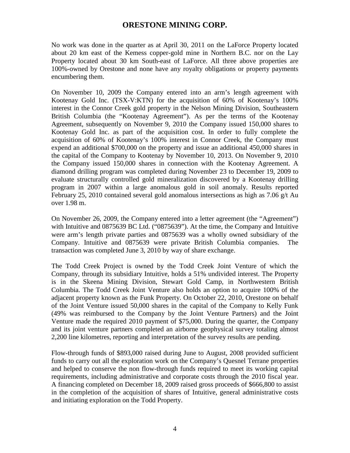No work was done in the quarter as at April 30, 2011 on the LaForce Property located about 20 km east of the Kemess copper-gold mine in Northern B.C. nor on the Lay Property located about 30 km South-east of LaForce. All three above properties are 100%-owned by Orestone and none have any royalty obligations or property payments encumbering them.

On November 10, 2009 the Company entered into an arm's length agreement with Kootenay Gold Inc. (TSX-V:KTN) for the acquisition of 60% of Kootenay's 100% interest in the Connor Creek gold property in the Nelson Mining Division, Southeastern British Columbia (the "Kootenay Agreement"). As per the terms of the Kootenay Agreement, subsequently on November 9, 2010 the Company issued 150,000 shares to Kootenay Gold Inc. as part of the acquisition cost. In order to fully complete the acquisition of 60% of Kootenay's 100% interest in Connor Creek, the Company must expend an additional \$700,000 on the property and issue an additional 450,000 shares in the capital of the Company to Kootenay by November 10, 2013. On November 9, 2010 the Company issued 150,000 shares in connection with the Kootenay Agreement. A diamond drilling program was completed during November 23 to December 19, 2009 to evaluate structurally controlled gold mineralization discovered by a Kootenay drilling program in 2007 within a large anomalous gold in soil anomaly. Results reported February 25, 2010 contained several gold anomalous intersections as high as 7.06 g/t Au over 1.98 m.

On November 26, 2009, the Company entered into a letter agreement (the "Agreement") with Intuitive and 0875639 BC Ltd. ("0875639"). At the time, the Company and Intuitive were arm's length private parties and 0875639 was a wholly owned subsidiary of the Company. Intuitive and 0875639 were private British Columbia companies. The transaction was completed June 3, 2010 by way of share exchange.

The Todd Creek Project is owned by the Todd Creek Joint Venture of which the Company, through its subsidiary Intuitive, holds a 51% undivided interest. The Property is in the Skeena Mining Division, Stewart Gold Camp, in Northwestern British Columbia. The Todd Creek Joint Venture also holds an option to acquire 100% of the adjacent property known as the Funk Property. On October 22, 2010, Orestone on behalf of the Joint Venture issued 50,000 shares in the capital of the Company to Kelly Funk (49% was reimbursed to the Company by the Joint Venture Partners) and the Joint Venture made the required 2010 payment of \$75,000. During the quarter, the Company and its joint venture partners completed an airborne geophysical survey totaling almost 2,200 line kilometres, reporting and interpretation of the survey results are pending.

Flow-through funds of \$893,000 raised during June to August, 2008 provided sufficient funds to carry out all the exploration work on the Company's Quesnel Terrane properties and helped to conserve the non flow-through funds required to meet its working capital requirements, including administrative and corporate costs through the 2010 fiscal year. A financing completed on December 18, 2009 raised gross proceeds of \$666,800 to assist in the completion of the acquisition of shares of Intuitive, general administrative costs and initiating exploration on the Todd Property.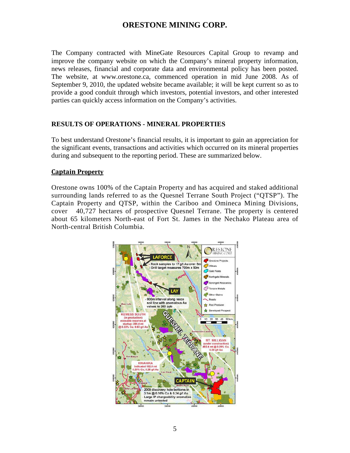The Company contracted with MineGate Resources Capital Group to revamp and improve the company website on which the Company's mineral property information, news releases, financial and corporate data and environmental policy has been posted. The website, at www.orestone.ca, commenced operation in mid June 2008. As of September 9, 2010, the updated website became available; it will be kept current so as to provide a good conduit through which investors, potential investors, and other interested parties can quickly access information on the Company's activities.

#### **RESULTS OF OPERATIONS - MINERAL PROPERTIES**

To best understand Orestone's financial results, it is important to gain an appreciation for the significant events, transactions and activities which occurred on its mineral properties during and subsequent to the reporting period. These are summarized below.

#### **Captain Property**

Orestone owns 100% of the Captain Property and has acquired and staked additional surrounding lands referred to as the Quesnel Terrane South Project ("QTSP"). The Captain Property and QTSP, within the Cariboo and Omineca Mining Divisions, cover 40,727 hectares of prospective Quesnel Terrane. The property is centered about 65 kilometers North-east of Fort St. James in the Nechako Plateau area of North-central British Columbia.

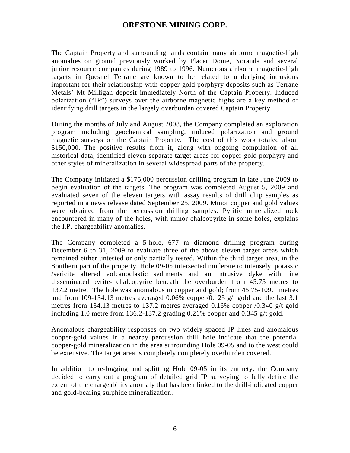The Captain Property and surrounding lands contain many airborne magnetic-high anomalies on ground previously worked by Placer Dome, Noranda and several junior resource companies during 1989 to 1996. Numerous airborne magnetic-high targets in Quesnel Terrane are known to be related to underlying intrusions important for their relationship with copper-gold porphyry deposits such as Terrane Metals' Mt Milligan deposit immediately North of the Captain Property. Induced polarization ("IP") surveys over the airborne magnetic highs are a key method of identifying drill targets in the largely overburden covered Captain Property.

During the months of July and August 2008, the Company completed an exploration program including geochemical sampling, induced polarization and ground magnetic surveys on the Captain Property. The cost of this work totaled about \$150,000. The positive results from it, along with ongoing compilation of all historical data, identified eleven separate target areas for copper-gold porphyry and other styles of mineralization in several widespread parts of the property.

The Company initiated a \$175,000 percussion drilling program in late June 2009 to begin evaluation of the targets. The program was completed August 5, 2009 and evaluated seven of the eleven targets with assay results of drill chip samples as reported in a news release dated September 25, 2009. Minor copper and gold values were obtained from the percussion drilling samples. Pyritic mineralized rock encountered in many of the holes, with minor chalcopyrite in some holes, explains the I.P. chargeability anomalies.

The Company completed a 5-hole, 677 m diamond drilling program during December 6 to 31, 2009 to evaluate three of the above eleven target areas which remained either untested or only partially tested. Within the third target area, in the Southern part of the property, Hole 09-05 intersected moderate to intensely potassic /sericite altered volcanoclastic sediments and an intrusive dyke with fine disseminated pyrite- chalcopyrite beneath the overburden from 45.75 metres to 137.2 metre. The hole was anomalous in copper and gold; from 45.75-109.1 metres and from 109-134.13 metres averaged 0.06% copper/0.125 g/t gold and the last 3.1 metres from 134.13 metres to 137.2 metres averaged 0.16% copper /0.340 g/t gold including 1.0 metre from 136.2-137.2 grading 0.21% copper and 0.345 g/t gold.

Anomalous chargeability responses on two widely spaced IP lines and anomalous copper-gold values in a nearby percussion drill hole indicate that the potential copper-gold mineralization in the area surrounding Hole 09-05 and to the west could be extensive. The target area is completely completely overburden covered.

In addition to re-logging and splitting Hole 09-05 in its entirety, the Company decided to carry out a program of detailed grid IP surveying to fully define the extent of the chargeability anomaly that has been linked to the drill-indicated copper and gold-bearing sulphide mineralization.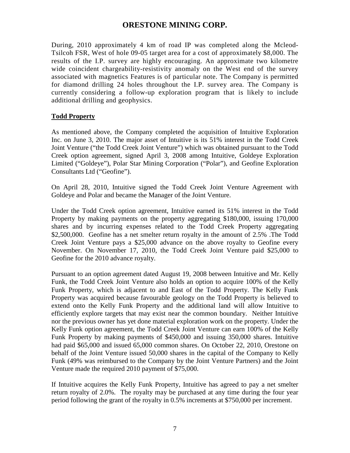During, 2010 approximately 4 km of road IP was completed along the Mcleod-Tsilcoh FSR, West of hole 09-05 target area for a cost of approximately \$8,000. The results of the I.P. survey are highly encouraging. An approximate two kilometre wide coincident chargeability-resistivity anomaly on the West end of the survey associated with magnetics Features is of particular note. The Company is permitted for diamond drilling 24 holes throughout the I.P. survey area. The Company is currently considering a follow-up exploration program that is likely to include additional drilling and geophysics.

### **Todd Property**

As mentioned above, the Company completed the acquisition of Intuitive Exploration Inc. on June 3, 2010. The major asset of Intuitive is its 51% interest in the Todd Creek Joint Venture ("the Todd Creek Joint Venture") which was obtained pursuant to the Todd Creek option agreement, signed April 3, 2008 among Intuitive, Goldeye Exploration Limited ("Goldeye"), Polar Star Mining Corporation ("Polar"), and Geofine Exploration Consultants Ltd ("Geofine").

On April 28, 2010, Intuitive signed the Todd Creek Joint Venture Agreement with Goldeye and Polar and became the Manager of the Joint Venture.

Under the Todd Creek option agreement, Intuitive earned its 51% interest in the Todd Property by making payments on the property aggregating \$180,000, issuing 170,000 shares and by incurring expenses related to the Todd Creek Property aggregating \$2,500,000. Geofine has a net smelter return royalty in the amount of 2.5% .The Todd Creek Joint Venture pays a \$25,000 advance on the above royalty to Geofine every November. On November 17, 2010, the Todd Creek Joint Venture paid \$25,000 to Geofine for the 2010 advance royalty.

Pursuant to an option agreement dated August 19, 2008 between Intuitive and Mr. Kelly Funk, the Todd Creek Joint Venture also holds an option to acquire 100% of the Kelly Funk Property, which is adjacent to and East of the Todd Property. The Kelly Funk Property was acquired because favourable geology on the Todd Property is believed to extend onto the Kelly Funk Property and the additional land will allow Intuitive to efficiently explore targets that may exist near the common boundary. Neither Intuitive nor the previous owner has yet done material exploration work on the property. Under the Kelly Funk option agreement, the Todd Creek Joint Venture can earn 100% of the Kelly Funk Property by making payments of \$450,000 and issuing 350,000 shares. Intuitive had paid \$65,000 and issued 65,000 common shares. On October 22, 2010, Orestone on behalf of the Joint Venture issued 50,000 shares in the capital of the Company to Kelly Funk (49% was reimbursed to the Company by the Joint Venture Partners) and the Joint Venture made the required 2010 payment of \$75,000.

If Intuitive acquires the Kelly Funk Property, Intuitive has agreed to pay a net smelter return royalty of 2.0%. The royalty may be purchased at any time during the four year period following the grant of the royalty in 0.5% increments at \$750,000 per increment.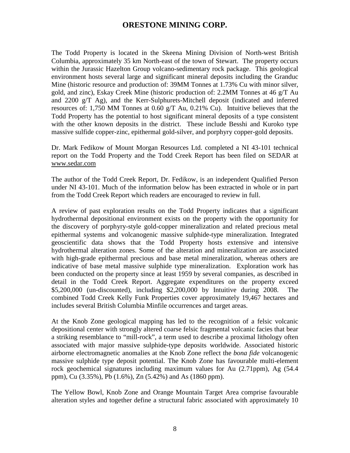The Todd Property is located in the Skeena Mining Division of North-west British Columbia, approximately 35 km North-east of the town of Stewart. The property occurs within the Jurassic Hazelton Group volcano-sedimentary rock package. This geological environment hosts several large and significant mineral deposits including the Granduc Mine (historic resource and production of: 39MM Tonnes at 1.73% Cu with minor silver, gold, and zinc), Eskay Creek Mine (historic production of: 2.2MM Tonnes at 46 g/T Au and 2200 g/T Ag), and the Kerr-Sulphurets-Mitchell deposit (indicated and inferred resources of: 1,750 MM Tonnes at 0.60 g/T Au, 0.21% Cu). Intuitive believes that the Todd Property has the potential to host significant mineral deposits of a type consistent with the other known deposits in the district. These include Besshi and Kuroko type massive sulfide copper-zinc, epithermal gold-silver, and porphyry copper-gold deposits.

Dr. Mark Fedikow of Mount Morgan Resources Ltd. completed a NI 43-101 technical report on the Todd Property and the Todd Creek Report has been filed on SEDAR at www.sedar.com

The author of the Todd Creek Report, Dr. Fedikow, is an independent Qualified Person under NI 43-101. Much of the information below has been extracted in whole or in part from the Todd Creek Report which readers are encouraged to review in full.

A review of past exploration results on the Todd Property indicates that a significant hydrothermal depositional environment exists on the property with the opportunity for the discovery of porphyry-style gold-copper mineralization and related precious metal epithermal systems and volcanogenic massive sulphide-type mineralization. Integrated geoscientific data shows that the Todd Property hosts extensive and intensive hydrothermal alteration zones. Some of the alteration and mineralization are associated with high-grade epithermal precious and base metal mineralization, whereas others are indicative of base metal massive sulphide type mineralization. Exploration work has been conducted on the property since at least 1959 by several companies, as described in detail in the Todd Creek Report. Aggregate expenditures on the property exceed \$5,200,000 (un-discounted), including \$2,200,000 by Intuitive during 2008. The combined Todd Creek Kelly Funk Properties cover approximately 19,467 hectares and includes several British Columbia Minfile occurrences and target areas.

At the Knob Zone geological mapping has led to the recognition of a felsic volcanic depositional center with strongly altered coarse felsic fragmental volcanic facies that bear a striking resemblance to "mill-rock", a term used to describe a proximal lithology often associated with major massive sulphide-type deposits worldwide. Associated historic airborne electromagnetic anomalies at the Knob Zone reflect the *bona fide* volcanogenic massive sulphide type deposit potential. The Knob Zone has favourable multi-element rock geochemical signatures including maximum values for Au (2.71ppm), Ag (54.4 ppm), Cu (3.35%), Pb (1.6%), Zn (5.42%) and As (1860 ppm).

The Yellow Bowl, Knob Zone and Orange Mountain Target Area comprise favourable alteration styles and together define a structural fabric associated with approximately 10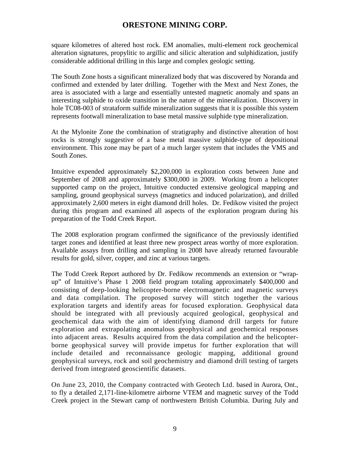square kilometres of altered host rock. EM anomalies, multi-element rock geochemical alteration signatures, propylitic to argillic and silicic alteration and sulphidization, justify considerable additional drilling in this large and complex geologic setting.

The South Zone hosts a significant mineralized body that was discovered by Noranda and confirmed and extended by later drilling. Together with the Mext and Next Zones, the area is associated with a large and essentially untested magnetic anomaly and spans an interesting sulphide to oxide transition in the nature of the mineralization. Discovery in hole TC08-003 of strataform sulfide mineralization suggests that it is possible this system represents footwall mineralization to base metal massive sulphide type mineralization.

At the Mylonite Zone the combination of stratigraphy and distinctive alteration of host rocks is strongly suggestive of a base metal massive sulphide-type of depositional environment. This zone may be part of a much larger system that includes the VMS and South Zones.

Intuitive expended approximately \$2,200,000 in exploration costs between June and September of 2008 and approximately \$300,000 in 2009. Working from a helicopter supported camp on the project, Intuitive conducted extensive geological mapping and sampling, ground geophysical surveys (magnetics and induced polarization), and drilled approximately 2,600 meters in eight diamond drill holes. Dr. Fedikow visited the project during this program and examined all aspects of the exploration program during his preparation of the Todd Creek Report.

The 2008 exploration program confirmed the significance of the previously identified target zones and identified at least three new prospect areas worthy of more exploration. Available assays from drilling and sampling in 2008 have already returned favourable results for gold, silver, copper, and zinc at various targets.

The Todd Creek Report authored by Dr. Fedikow recommends an extension or "wrapup" of Intuitive's Phase 1 2008 field program totaling approximately \$400,000 and consisting of deep-looking helicopter-borne electromagnetic and magnetic surveys and data compilation. The proposed survey will stitch together the various exploration targets and identify areas for focused exploration. Geophysical data should be integrated with all previously acquired geological, geophysical and geochemical data with the aim of identifying diamond drill targets for future exploration and extrapolating anomalous geophysical and geochemical responses into adjacent areas. Results acquired from the data compilation and the helicopterborne geophysical survey will provide impetus for further exploration that will include detailed and reconnaissance geologic mapping, additional ground geophysical surveys, rock and soil geochemistry and diamond drill testing of targets derived from integrated geoscientific datasets.

On June 23, 2010, the Company contracted with Geotech Ltd. based in Aurora, Ont., to fly a detailed 2,171-line-kilometre airborne VTEM and magnetic survey of the Todd Creek project in the Stewart camp of northwestern British Columbia. During July and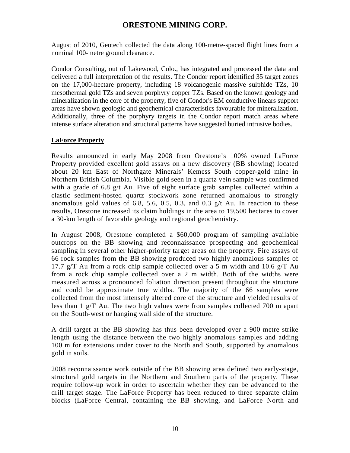August of 2010, Geotech collected the data along 100-metre-spaced flight lines from a nominal 100-metre ground clearance.

Condor Consulting, out of Lakewood, Colo., has integrated and processed the data and delivered a full interpretation of the results. The Condor report identified 35 target zones on the 17,000-hectare property, including 18 volcanogenic massive sulphide TZs, 10 mesothermal gold TZs and seven porphyry copper TZs. Based on the known geology and mineralization in the core of the property, five of Condor's EM conductive linears support areas have shown geologic and geochemical characteristics favourable for mineralization. Additionally, three of the porphyry targets in the Condor report match areas where intense surface alteration and structural patterns have suggested buried intrusive bodies.

### **LaForce Property**

Results announced in early May 2008 from Orestone's 100% owned LaForce Property provided excellent gold assays on a new discovery (BB showing) located about 20 km East of Northgate Minerals' Kemess South copper-gold mine in Northern British Columbia. Visible gold seen in a quartz vein sample was confirmed with a grade of 6.8 g/t Au. Five of eight surface grab samples collected within a clastic sediment-hosted quartz stockwork zone returned anomalous to strongly anomalous gold values of 6.8, 5.6, 0.5, 0.3, and 0.3  $g/t$  Au. In reaction to these results, Orestone increased its claim holdings in the area to 19,500 hectares to cover a 30-km length of favorable geology and regional geochemistry.

In August 2008, Orestone completed a \$60,000 program of sampling available outcrops on the BB showing and reconnaissance prospecting and geochemical sampling in several other higher-priority target areas on the property. Fire assays of 66 rock samples from the BB showing produced two highly anomalous samples of 17.7 g/T Au from a rock chip sample collected over a 5 m width and 10.6 g/T Au from a rock chip sample collected over a 2 m width. Both of the widths were measured across a pronounced foliation direction present throughout the structure and could be approximate true widths. The majority of the 66 samples were collected from the most intensely altered core of the structure and yielded results of less than 1 g/T Au. The two high values were from samples collected 700 m apart on the South-west or hanging wall side of the structure.

A drill target at the BB showing has thus been developed over a 900 metre strike length using the distance between the two highly anomalous samples and adding 100 m for extensions under cover to the North and South, supported by anomalous gold in soils.

2008 reconnaissance work outside of the BB showing area defined two early-stage, structural gold targets in the Northern and Southern parts of the property. These require follow-up work in order to ascertain whether they can be advanced to the drill target stage. The LaForce Property has been reduced to three separate claim blocks (LaForce Central, containing the BB showing, and LaForce North and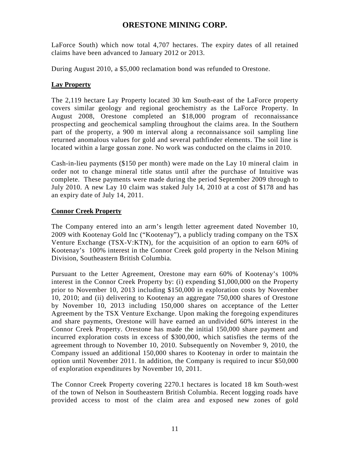LaForce South) which now total 4,707 hectares. The expiry dates of all retained claims have been advanced to January 2012 or 2013.

During August 2010, a \$5,000 reclamation bond was refunded to Orestone.

## **Lay Property**

The 2,119 hectare Lay Property located 30 km South-east of the LaForce property covers similar geology and regional geochemistry as the LaForce Property. In August 2008, Orestone completed an \$18,000 program of reconnaissance prospecting and geochemical sampling throughout the claims area. In the Southern part of the property, a 900 m interval along a reconnaissance soil sampling line returned anomalous values for gold and several pathfinder elements. The soil line is located within a large gossan zone. No work was conducted on the claims in 2010.

Cash-in-lieu payments (\$150 per month) were made on the Lay 10 mineral claim in order not to change mineral title status until after the purchase of Intuitive was complete. These payments were made during the period September 2009 through to July 2010. A new Lay 10 claim was staked July 14, 2010 at a cost of \$178 and has an expiry date of July 14, 2011.

## **Connor Creek Property**

The Company entered into an arm's length letter agreement dated November 10, 2009 with Kootenay Gold Inc ("Kootenay"), a publicly trading company on the TSX Venture Exchange (TSX-V:KTN), for the acquisition of an option to earn 60% of Kootenay's 100% interest in the Connor Creek gold property in the Nelson Mining Division, Southeastern British Columbia.

Pursuant to the Letter Agreement, Orestone may earn 60% of Kootenay's 100% interest in the Connor Creek Property by: (i) expending \$1,000,000 on the Property prior to November 10, 2013 including \$150,000 in exploration costs by November 10, 2010; and (ii) delivering to Kootenay an aggregate 750,000 shares of Orestone by November 10, 2013 including 150,000 shares on acceptance of the Letter Agreement by the TSX Venture Exchange. Upon making the foregoing expenditures and share payments, Orestone will have earned an undivided 60% interest in the Connor Creek Property. Orestone has made the initial 150,000 share payment and incurred exploration costs in excess of \$300,000, which satisfies the terms of the agreement through to November 10, 2010. Subsequently on November 9, 2010, the Company issued an additional 150,000 shares to Kootenay in order to maintain the option until November 2011. In addition, the Company is required to incur \$50,000 of exploration expenditures by November 10, 2011.

The Connor Creek Property covering 2270.1 hectares is located 18 km South-west of the town of Nelson in Southeastern British Columbia. Recent logging roads have provided access to most of the claim area and exposed new zones of gold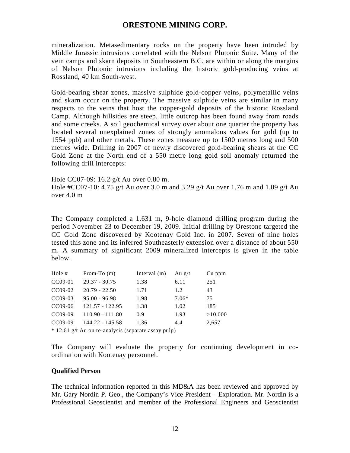mineralization. Metasedimentary rocks on the property have been intruded by Middle Jurassic intrusions correlated with the Nelson Plutonic Suite. Many of the vein camps and skarn deposits in Southeastern B.C. are within or along the margins of Nelson Plutonic intrusions including the historic gold-producing veins at Rossland, 40 km South-west.

Gold-bearing shear zones, massive sulphide gold-copper veins, polymetallic veins and skarn occur on the property. The massive sulphide veins are similar in many respects to the veins that host the copper-gold deposits of the historic Rossland Camp. Although hillsides are steep, little outcrop has been found away from roads and some creeks. A soil geochemical survey over about one quarter the property has located several unexplained zones of strongly anomalous values for gold (up to 1554 ppb) and other metals. These zones measure up to 1500 metres long and 500 metres wide. Drilling in 2007 of newly discovered gold-bearing shears at the CC Gold Zone at the North end of a 550 metre long gold soil anomaly returned the following drill intercepts:

Hole CC07-09: 16.2 g/t Au over 0.80 m. Hole #CC07-10: 4.75 g/t Au over 3.0 m and 3.29 g/t Au over 1.76 m and 1.09 g/t Au over 4.0 m

The Company completed a 1,631 m, 9-hole diamond drilling program during the period November 23 to December 19, 2009. Initial drilling by Orestone targeted the CC Gold Zone discovered by Kootenay Gold Inc. in 2007. Seven of nine holes tested this zone and its inferred Southeasterly extension over a distance of about 550 m. A summary of significant 2009 mineralized intercepts is given in the table below.

| Hole $#$  | From-To $(m)$     | Interval $(m)$ | Au $g/t$ | Cu ppm  |
|-----------|-------------------|----------------|----------|---------|
| CC09-01   | $29.37 - 30.75$   | 1.38           | 6.11     | 251     |
| $CC09-02$ | $20.79 - 22.50$   | 1.71           | 1.2      | 43      |
| $CC09-03$ | $95.00 - 96.98$   | 1.98           | $7.06*$  | 75      |
| $CC09-06$ | 121.57 - 122.95   | 1.38           | 1.02     | 185     |
| CC09-09   | $110.90 - 111.80$ | 0.9            | 1.93     | >10,000 |
| CC09-09   | 144.22 - 145.58   | 1.36           | 4.4      | 2,657   |

\* 12.61 g/t Au on re-analysis (separate assay pulp)

The Company will evaluate the property for continuing development in coordination with Kootenay personnel.

#### **Qualified Person**

The technical information reported in this MD&A has been reviewed and approved by Mr. Gary Nordin P. Geo., the Company's Vice President – Exploration. Mr. Nordin is a Professional Geoscientist and member of the Professional Engineers and Geoscientist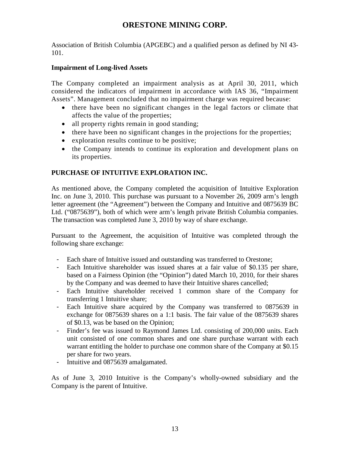Association of British Columbia (APGEBC) and a qualified person as defined by NI 43- 101.

### **Impairment of Long-lived Assets**

The Company completed an impairment analysis as at April 30, 2011, which considered the indicators of impairment in accordance with IAS 36, "Impairment Assets". Management concluded that no impairment charge was required because:

- there have been no significant changes in the legal factors or climate that affects the value of the properties;
- all property rights remain in good standing;
- there have been no significant changes in the projections for the properties;
- exploration results continue to be positive;
- the Company intends to continue its exploration and development plans on its properties.

### **PURCHASE OF INTUITIVE EXPLORATION INC.**

As mentioned above, the Company completed the acquisition of Intuitive Exploration Inc. on June 3, 2010. This purchase was pursuant to a November 26, 2009 arm's length letter agreement (the "Agreement") between the Company and Intuitive and 0875639 BC Ltd. ("0875639"), both of which were arm's length private British Columbia companies. The transaction was completed June 3, 2010 by way of share exchange.

Pursuant to the Agreement, the acquisition of Intuitive was completed through the following share exchange:

- Each share of Intuitive issued and outstanding was transferred to Orestone;
- Each Intuitive shareholder was issued shares at a fair value of \$0.135 per share, based on a Fairness Opinion (the "Opinion") dated March 10, 2010, for their shares by the Company and was deemed to have their Intuitive shares cancelled;
- Each Intuitive shareholder received 1 common share of the Company for transferring 1 Intuitive share;
- Each Intuitive share acquired by the Company was transferred to 0875639 in exchange for 0875639 shares on a 1:1 basis. The fair value of the 0875639 shares of \$0.13, was be based on the Opinion;
- Finder's fee was issued to Raymond James Ltd. consisting of 200,000 units. Each unit consisted of one common shares and one share purchase warrant with each warrant entitling the holder to purchase one common share of the Company at \$0.15 per share for two years.
- Intuitive and 0875639 amalgamated.

As of June 3, 2010 Intuitive is the Company's wholly-owned subsidiary and the Company is the parent of Intuitive.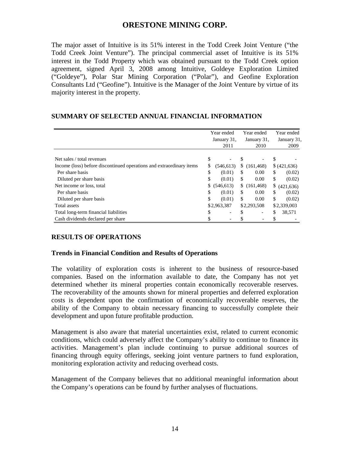The major asset of Intuitive is its 51% interest in the Todd Creek Joint Venture ("the Todd Creek Joint Venture"). The principal commercial asset of Intuitive is its 51% interest in the Todd Property which was obtained pursuant to the Todd Creek option agreement, signed April 3, 2008 among Intuitive, Goldeye Exploration Limited ("Goldeye"), Polar Star Mining Corporation ("Polar"), and Geofine Exploration Consultants Ltd ("Geofine"). Intuitive is the Manager of the Joint Venture by virtue of its majority interest in the property.

#### **SUMMARY OF SELECTED ANNUAL FINANCIAL INFORMATION**

|                                                                      |    | Year ended  |    | Year ended  | Year ended       |
|----------------------------------------------------------------------|----|-------------|----|-------------|------------------|
|                                                                      |    | January 31, |    | January 31, | January 31,      |
|                                                                      |    | 2011        |    | 2010        | 2009             |
| Net sales / total revenues                                           | \$ |             |    |             | \$               |
| Income (loss) before discontinued operations and extraordinary items | S  | (546, 613)  | \$ | (161, 468)  | (421, 636)       |
| Per share basis                                                      | \$ | (0.01)      | S  | 0.00        | \$<br>(0.02)     |
| Diluted per share basis                                              | \$ | (0.01)      | \$ | 0.00        | \$<br>(0.02)     |
| Net income or loss, total                                            |    | \$(546,613) | \$ | (161, 468)  | \$<br>(421, 636) |
| Per share basis                                                      | \$ | (0.01)      | \$ | 0.00        | \$<br>(0.02)     |
| Diluted per share basis                                              | \$ | (0.01)      | \$ | 0.00        | \$<br>(0.02)     |
| Total assets                                                         |    | \$2,963,387 |    | \$2,293,508 | \$2,339,003      |
| Total long-term financial liabilities                                | \$ |             | \$ |             | \$<br>38,571     |
| Cash dividends declared per share                                    |    |             |    |             | \$               |

### **RESULTS OF OPERATIONS**

#### **Trends in Financial Condition and Results of Operations**

The volatility of exploration costs is inherent to the business of resource-based companies. Based on the information available to date, the Company has not yet determined whether its mineral properties contain economically recoverable reserves. The recoverability of the amounts shown for mineral properties and deferred exploration costs is dependent upon the confirmation of economically recoverable reserves, the ability of the Company to obtain necessary financing to successfully complete their development and upon future profitable production.

Management is also aware that material uncertainties exist, related to current economic conditions, which could adversely affect the Company's ability to continue to finance its activities. Management's plan include continuing to pursue additional sources of financing through equity offerings, seeking joint venture partners to fund exploration, monitoring exploration activity and reducing overhead costs.

Management of the Company believes that no additional meaningful information about the Company's operations can be found by further analyses of fluctuations.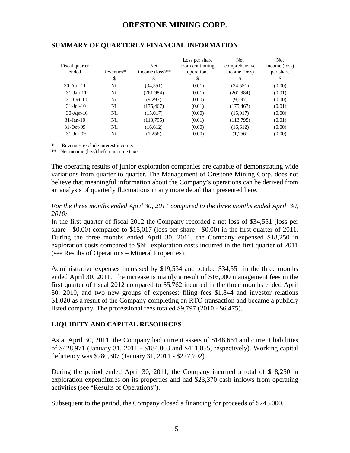| Fiscal quarter<br>ended | Revenues*<br>\$ | <b>Net</b><br>income $(\text{loss})^{**}$<br>S | Loss per share<br>from continuing<br>operations<br>\$ | <b>Net</b><br>comprehensive<br>income (loss)<br>\$. | Net.<br>income (loss)<br>per share<br>\$ |
|-------------------------|-----------------|------------------------------------------------|-------------------------------------------------------|-----------------------------------------------------|------------------------------------------|
| $30$ -Apr-11            | N <sub>il</sub> | (34,551)                                       | (0.01)                                                | (34, 551)                                           | (0.00)                                   |
| $31-Jan-11$             | Nil             | (261,984)                                      | (0.01)                                                | (261, 984)                                          | (0.01)                                   |
| $31-Oct-10$             | Nil             | (9,297)                                        | (0.00)                                                | (9,297)                                             | (0.00)                                   |
| $31$ -Jul- $10$         | Nil             | (175, 467)                                     | (0.01)                                                | (175, 467)                                          | (0.01)                                   |
| $30-Apr-10$             | Nil             | (15,017)                                       | (0.00)                                                | (15,017)                                            | (0.00)                                   |
| $31$ -Jan- $10$         | Nil             | (113,795)                                      | (0.01)                                                | (113,795)                                           | (0.01)                                   |
| $31-Oct-09$             | Nil             | (16,612)                                       | (0.00)                                                | (16,612)                                            | (0.00)                                   |
| $31-Jul-09$             | Nil             | (1,256)                                        | (0.00)                                                | (1,256)                                             | (0.00)                                   |

### **SUMMARY OF QUARTERLY FINANCIAL INFORMATION**

\* Revenues exclude interest income.

\*\* Net income (loss) before income taxes.

The operating results of junior exploration companies are capable of demonstrating wide variations from quarter to quarter. The Management of Orestone Mining Corp. does not believe that meaningful information about the Company's operations can be derived from an analysis of quarterly fluctuations in any more detail than presented here.

#### *For the three months ended April 30, 2011 compared to the three months ended April 30, 2010:*

In the first quarter of fiscal 2012 the Company recorded a net loss of \$34,551 (loss per share - \$0.00) compared to \$15,017 (loss per share - \$0.00) in the first quarter of 2011. During the three months ended April 30, 2011, the Company expensed \$18,250 in exploration costs compared to \$Nil exploration costs incurred in the first quarter of 2011 (see Results of Operations – Mineral Properties).

Administrative expenses increased by \$19,534 and totaled \$34,551 in the three months ended April 30, 2011. The increase is mainly a result of \$16,000 management fees in the first quarter of fiscal 2012 compared to \$5,762 incurred in the three months ended April 30, 2010, and two new groups of expenses: filing fees \$1,844 and investor relations \$1,020 as a result of the Company completing an RTO transaction and became a publicly listed company. The professional fees totaled \$9,797 (2010 - \$6,475).

### **LIQUIDITY AND CAPITAL RESOURCES**

As at April 30, 2011, the Company had current assets of \$148,664 and current liabilities of \$428,971 (January 31, 2011 - \$184,063 and \$411,855, respectively). Working capital deficiency was \$280,307 (January 31, 2011 - \$227,792).

During the period ended April 30, 2011, the Company incurred a total of \$18,250 in exploration expenditures on its properties and had \$23,370 cash inflows from operating activities (see "Results of Operations").

Subsequent to the period, the Company closed a financing for proceeds of \$245,000.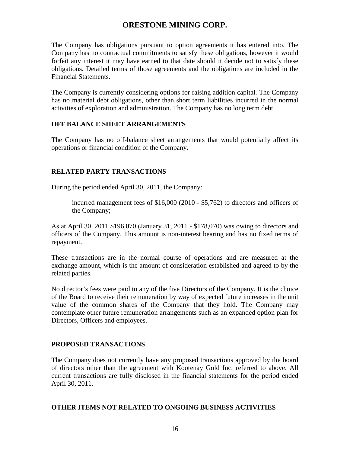The Company has obligations pursuant to option agreements it has entered into. The Company has no contractual commitments to satisfy these obligations, however it would forfeit any interest it may have earned to that date should it decide not to satisfy these obligations. Detailed terms of those agreements and the obligations are included in the Financial Statements.

The Company is currently considering options for raising addition capital. The Company has no material debt obligations, other than short term liabilities incurred in the normal activities of exploration and administration. The Company has no long term debt.

### **OFF BALANCE SHEET ARRANGEMENTS**

The Company has no off-balance sheet arrangements that would potentially affect its operations or financial condition of the Company.

### **RELATED PARTY TRANSACTIONS**

During the period ended April 30, 2011, the Company:

- incurred management fees of \$16,000 (2010 - \$5,762) to directors and officers of the Company;

As at April 30, 2011 \$196,070 (January 31, 2011 - \$178,070) was owing to directors and officers of the Company. This amount is non-interest bearing and has no fixed terms of repayment.

These transactions are in the normal course of operations and are measured at the exchange amount, which is the amount of consideration established and agreed to by the related parties.

No director's fees were paid to any of the five Directors of the Company. It is the choice of the Board to receive their remuneration by way of expected future increases in the unit value of the common shares of the Company that they hold. The Company may contemplate other future remuneration arrangements such as an expanded option plan for Directors, Officers and employees.

### **PROPOSED TRANSACTIONS**

The Company does not currently have any proposed transactions approved by the board of directors other than the agreement with Kootenay Gold Inc. referred to above. All current transactions are fully disclosed in the financial statements for the period ended April 30, 2011.

#### **OTHER ITEMS NOT RELATED TO ONGOING BUSINESS ACTIVITIES**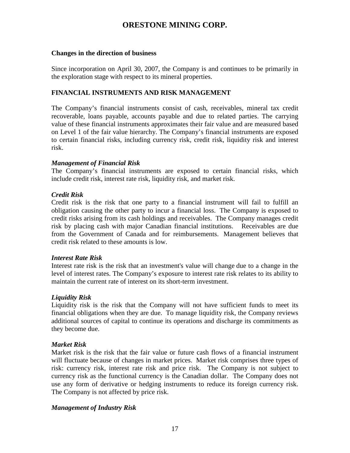#### **Changes in the direction of business**

Since incorporation on April 30, 2007, the Company is and continues to be primarily in the exploration stage with respect to its mineral properties.

#### **FINANCIAL INSTRUMENTS AND RISK MANAGEMENT**

The Company's financial instruments consist of cash, receivables, mineral tax credit recoverable, loans payable, accounts payable and due to related parties. The carrying value of these financial instruments approximates their fair value and are measured based on Level 1 of the fair value hierarchy. The Company's financial instruments are exposed to certain financial risks, including currency risk, credit risk, liquidity risk and interest risk.

#### *Management of Financial Risk*

The Company's financial instruments are exposed to certain financial risks, which include credit risk, interest rate risk, liquidity risk, and market risk.

#### *Credit Risk*

Credit risk is the risk that one party to a financial instrument will fail to fulfill an obligation causing the other party to incur a financial loss. The Company is exposed to credit risks arising from its cash holdings and receivables. The Company manages credit risk by placing cash with major Canadian financial institutions. Receivables are due from the Government of Canada and for reimbursements. Management believes that credit risk related to these amounts is low.

#### *Interest Rate Risk*

Interest rate risk is the risk that an investment's value will change due to a change in the level of interest rates. The Company's exposure to interest rate risk relates to its ability to maintain the current rate of interest on its short-term investment.

#### *Liquidity Risk*

Liquidity risk is the risk that the Company will not have sufficient funds to meet its financial obligations when they are due. To manage liquidity risk, the Company reviews additional sources of capital to continue its operations and discharge its commitments as they become due.

#### *Market Risk*

Market risk is the risk that the fair value or future cash flows of a financial instrument will fluctuate because of changes in market prices. Market risk comprises three types of risk: currency risk, interest rate risk and price risk. The Company is not subject to currency risk as the functional currency is the Canadian dollar. The Company does not use any form of derivative or hedging instruments to reduce its foreign currency risk. The Company is not affected by price risk.

#### *Management of Industry Risk*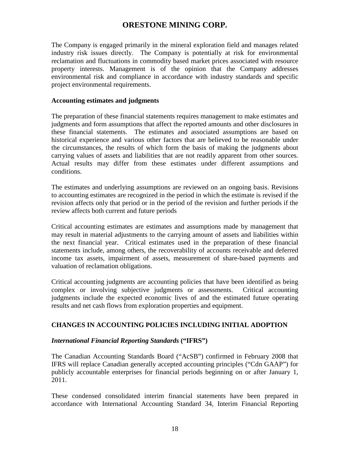The Company is engaged primarily in the mineral exploration field and manages related industry risk issues directly. The Company is potentially at risk for environmental reclamation and fluctuations in commodity based market prices associated with resource property interests. Management is of the opinion that the Company addresses environmental risk and compliance in accordance with industry standards and specific project environmental requirements.

#### **Accounting estimates and judgments**

The preparation of these financial statements requires management to make estimates and judgments and form assumptions that affect the reported amounts and other disclosures in these financial statements. The estimates and associated assumptions are based on historical experience and various other factors that are believed to be reasonable under the circumstances, the results of which form the basis of making the judgments about carrying values of assets and liabilities that are not readily apparent from other sources. Actual results may differ from these estimates under different assumptions and conditions.

The estimates and underlying assumptions are reviewed on an ongoing basis. Revisions to accounting estimates are recognized in the period in which the estimate is revised if the revision affects only that period or in the period of the revision and further periods if the review affects both current and future periods

Critical accounting estimates are estimates and assumptions made by management that may result in material adjustments to the carrying amount of assets and liabilities within the next financial year. Critical estimates used in the preparation of these financial statements include, among others, the recoverability of accounts receivable and deferred income tax assets, impairment of assets, measurement of share-based payments and valuation of reclamation obligations.

Critical accounting judgments are accounting policies that have been identified as being complex or involving subjective judgments or assessments. Critical accounting judgments include the expected economic lives of and the estimated future operating results and net cash flows from exploration properties and equipment.

### **CHANGES IN ACCOUNTING POLICIES INCLUDING INITIAL ADOPTION**

#### *International Financial Reporting Standards* **("IFRS")**

The Canadian Accounting Standards Board ("AcSB") confirmed in February 2008 that IFRS will replace Canadian generally accepted accounting principles ("Cdn GAAP") for publicly accountable enterprises for financial periods beginning on or after January 1, 2011.

These condensed consolidated interim financial statements have been prepared in accordance with International Accounting Standard 34, Interim Financial Reporting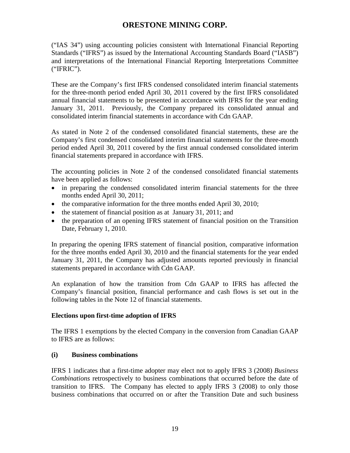("IAS 34") using accounting policies consistent with International Financial Reporting Standards ("IFRS") as issued by the International Accounting Standards Board ("IASB") and interpretations of the International Financial Reporting Interpretations Committee ("IFRIC").

These are the Company's first IFRS condensed consolidated interim financial statements for the three-month period ended April 30, 2011 covered by the first IFRS consolidated annual financial statements to be presented in accordance with IFRS for the year ending January 31, 2011. Previously, the Company prepared its consolidated annual and consolidated interim financial statements in accordance with Cdn GAAP.

As stated in Note 2 of the condensed consolidated financial statements, these are the Company's first condensed consolidated interim financial statements for the three-month period ended April 30, 2011 covered by the first annual condensed consolidated interim financial statements prepared in accordance with IFRS.

The accounting policies in Note 2 of the condensed consolidated financial statements have been applied as follows:

- in preparing the condensed consolidated interim financial statements for the three months ended April 30, 2011;
- the comparative information for the three months ended April 30, 2010;
- the statement of financial position as at January 31, 2011; and
- the preparation of an opening IFRS statement of financial position on the Transition Date, February 1, 2010.

In preparing the opening IFRS statement of financial position, comparative information for the three months ended April 30, 2010 and the financial statements for the year ended January 31, 2011, the Company has adjusted amounts reported previously in financial statements prepared in accordance with Cdn GAAP.

An explanation of how the transition from Cdn GAAP to IFRS has affected the Company's financial position, financial performance and cash flows is set out in the following tables in the Note 12 of financial statements.

### **Elections upon first-time adoption of IFRS**

The IFRS 1 exemptions by the elected Company in the conversion from Canadian GAAP to IFRS are as follows:

### **(i) Business combinations**

IFRS 1 indicates that a first-time adopter may elect not to apply IFRS 3 (2008) *Business Combinations* retrospectively to business combinations that occurred before the date of transition to IFRS. The Company has elected to apply IFRS 3 (2008) to only those business combinations that occurred on or after the Transition Date and such business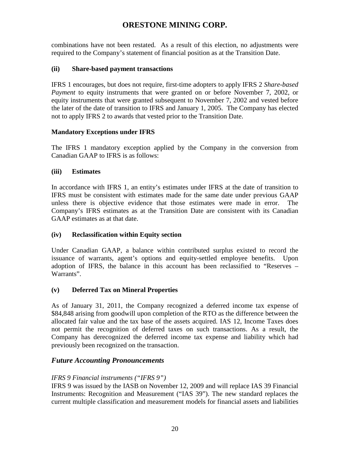combinations have not been restated. As a result of this election, no adjustments were required to the Company's statement of financial position as at the Transition Date.

### **(ii) Share-based payment transactions**

IFRS 1 encourages, but does not require, first-time adopters to apply IFRS 2 *Share-based Payment* to equity instruments that were granted on or before November 7, 2002, or equity instruments that were granted subsequent to November 7, 2002 and vested before the later of the date of transition to IFRS and January 1, 2005. The Company has elected not to apply IFRS 2 to awards that vested prior to the Transition Date.

## **Mandatory Exceptions under IFRS**

The IFRS 1 mandatory exception applied by the Company in the conversion from Canadian GAAP to IFRS is as follows:

### **(iii) Estimates**

In accordance with IFRS 1, an entity's estimates under IFRS at the date of transition to IFRS must be consistent with estimates made for the same date under previous GAAP unless there is objective evidence that those estimates were made in error. The Company's IFRS estimates as at the Transition Date are consistent with its Canadian GAAP estimates as at that date.

## **(iv) Reclassification within Equity section**

Under Canadian GAAP, a balance within contributed surplus existed to record the issuance of warrants, agent's options and equity-settled employee benefits. Upon adoption of IFRS, the balance in this account has been reclassified to "Reserves – Warrants".

## **(v) Deferred Tax on Mineral Properties**

As of January 31, 2011, the Company recognized a deferred income tax expense of \$84,848 arising from goodwill upon completion of the RTO as the difference between the allocated fair value and the tax base of the assets acquired. IAS 12, Income Taxes does not permit the recognition of deferred taxes on such transactions. As a result, the Company has derecognized the deferred income tax expense and liability which had previously been recognized on the transaction.

## *Future Accounting Pronouncements*

### *IFRS 9 Financial instruments ("IFRS 9")*

IFRS 9 was issued by the IASB on November 12, 2009 and will replace IAS 39 Financial Instruments: Recognition and Measurement ("IAS 39"). The new standard replaces the current multiple classification and measurement models for financial assets and liabilities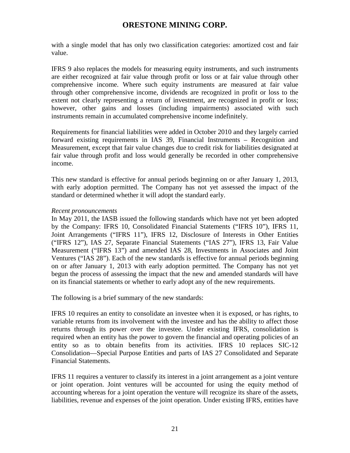with a single model that has only two classification categories: amortized cost and fair value.

IFRS 9 also replaces the models for measuring equity instruments, and such instruments are either recognized at fair value through profit or loss or at fair value through other comprehensive income. Where such equity instruments are measured at fair value through other comprehensive income, dividends are recognized in profit or loss to the extent not clearly representing a return of investment, are recognized in profit or loss; however, other gains and losses (including impairments) associated with such instruments remain in accumulated comprehensive income indefinitely.

Requirements for financial liabilities were added in October 2010 and they largely carried forward existing requirements in IAS 39, Financial Instruments – Recognition and Measurement, except that fair value changes due to credit risk for liabilities designated at fair value through profit and loss would generally be recorded in other comprehensive income.

This new standard is effective for annual periods beginning on or after January 1, 2013, with early adoption permitted. The Company has not yet assessed the impact of the standard or determined whether it will adopt the standard early.

#### *Recent pronouncements*

In May 2011, the IASB issued the following standards which have not yet been adopted by the Company: IFRS 10, Consolidated Financial Statements ("IFRS 10"), IFRS 11, Joint Arrangements ("IFRS 11"), IFRS 12, Disclosure of Interests in Other Entities ("IFRS 12"), IAS 27, Separate Financial Statements ("IAS 27"), IFRS 13, Fair Value Measurement ("IFRS 13") and amended IAS 28, Investments in Associates and Joint Ventures ("IAS 28"). Each of the new standards is effective for annual periods beginning on or after January 1, 2013 with early adoption permitted. The Company has not yet begun the process of assessing the impact that the new and amended standards will have on its financial statements or whether to early adopt any of the new requirements.

The following is a brief summary of the new standards:

IFRS 10 requires an entity to consolidate an investee when it is exposed, or has rights, to variable returns from its involvement with the investee and has the ability to affect those returns through its power over the investee. Under existing IFRS, consolidation is required when an entity has the power to govern the financial and operating policies of an entity so as to obtain benefits from its activities. IFRS 10 replaces SIC-12 Consolidation—Special Purpose Entities and parts of IAS 27 Consolidated and Separate Financial Statements.

IFRS 11 requires a venturer to classify its interest in a joint arrangement as a joint venture or joint operation. Joint ventures will be accounted for using the equity method of accounting whereas for a joint operation the venture will recognize its share of the assets, liabilities, revenue and expenses of the joint operation. Under existing IFRS, entities have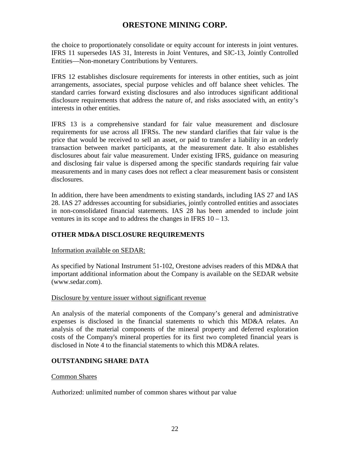the choice to proportionately consolidate or equity account for interests in joint ventures. IFRS 11 supersedes IAS 31, Interests in Joint Ventures, and SIC-13, Jointly Controlled Entities—Non-monetary Contributions by Venturers.

IFRS 12 establishes disclosure requirements for interests in other entities, such as joint arrangements, associates, special purpose vehicles and off balance sheet vehicles. The standard carries forward existing disclosures and also introduces significant additional disclosure requirements that address the nature of, and risks associated with, an entity's interests in other entities.

IFRS 13 is a comprehensive standard for fair value measurement and disclosure requirements for use across all IFRSs. The new standard clarifies that fair value is the price that would be received to sell an asset, or paid to transfer a liability in an orderly transaction between market participants, at the measurement date. It also establishes disclosures about fair value measurement. Under existing IFRS, guidance on measuring and disclosing fair value is dispersed among the specific standards requiring fair value measurements and in many cases does not reflect a clear measurement basis or consistent disclosures.

In addition, there have been amendments to existing standards, including IAS 27 and IAS 28. IAS 27 addresses accounting for subsidiaries, jointly controlled entities and associates in non-consolidated financial statements. IAS 28 has been amended to include joint ventures in its scope and to address the changes in IFRS 10 – 13.

## **OTHER MD&A DISCLOSURE REQUIREMENTS**

#### Information available on SEDAR:

As specified by National Instrument 51-102, Orestone advises readers of this MD&A that important additional information about the Company is available on the SEDAR website (www.sedar.com).

#### Disclosure by venture issuer without significant revenue

An analysis of the material components of the Company's general and administrative expenses is disclosed in the financial statements to which this MD&A relates. An analysis of the material components of the mineral property and deferred exploration costs of the Company's mineral properties for its first two completed financial years is disclosed in Note 4 to the financial statements to which this MD&A relates.

### **OUTSTANDING SHARE DATA**

#### Common Shares

Authorized: unlimited number of common shares without par value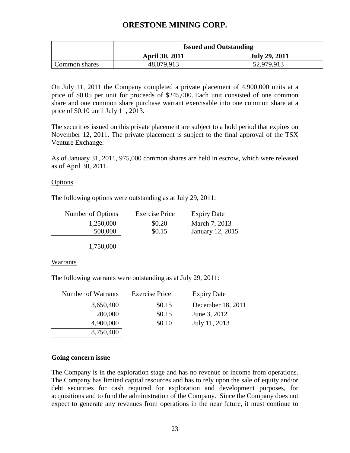|               | <b>Issued and Outstanding</b> |                      |  |
|---------------|-------------------------------|----------------------|--|
|               | <b>April 30, 2011</b>         | <b>July 29, 2011</b> |  |
| Common shares | 48,079,913                    | 52,979,913           |  |

On July 11, 2011 the Company completed a private placement of 4,900,000 units at a price of \$0.05 per unit for proceeds of \$245,000. Each unit consisted of one common share and one common share purchase warrant exercisable into one common share at a price of \$0.10 until July 11, 2013.

The securities issued on this private placement are subject to a hold period that expires on November 12, 2011. The private placement is subject to the final approval of the TSX Venture Exchange.

As of January 31, 2011, 975,000 common shares are held in escrow, which were released as of April 30, 2011.

#### **Options**

The following options were outstanding as at July 29, 2011:

| Number of Options | <b>Exercise Price</b> | <b>Expiry Date</b> |
|-------------------|-----------------------|--------------------|
| 1,250,000         | \$0.20                | March 7, 2013      |
| 500,000           | \$0.15                | January 12, 2015   |
|                   |                       |                    |

1,750,000

#### Warrants

The following warrants were outstanding as at July 29, 2011:

| Number of Warrants | <b>Exercise Price</b> | <b>Expiry Date</b> |
|--------------------|-----------------------|--------------------|
| 3,650,400          | \$0.15                | December 18, 2011  |
| 200,000            | \$0.15                | June 3, 2012       |
| 4,900,000          | \$0.10                | July 11, 2013      |
| 8,750,400          |                       |                    |

#### **Going concern issue**

The Company is in the exploration stage and has no revenue or income from operations. The Company has limited capital resources and has to rely upon the sale of equity and/or debt securities for cash required for exploration and development purposes, for acquisitions and to fund the administration of the Company. Since the Company does not expect to generate any revenues from operations in the near future, it must continue to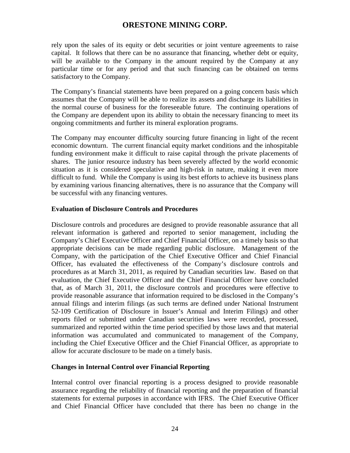rely upon the sales of its equity or debt securities or joint venture agreements to raise capital. It follows that there can be no assurance that financing, whether debt or equity, will be available to the Company in the amount required by the Company at any particular time or for any period and that such financing can be obtained on terms satisfactory to the Company.

The Company's financial statements have been prepared on a going concern basis which assumes that the Company will be able to realize its assets and discharge its liabilities in the normal course of business for the foreseeable future. The continuing operations of the Company are dependent upon its ability to obtain the necessary financing to meet its ongoing commitments and further its mineral exploration programs.

The Company may encounter difficulty sourcing future financing in light of the recent economic downturn. The current financial equity market conditions and the inhospitable funding environment make it difficult to raise capital through the private placements of shares. The junior resource industry has been severely affected by the world economic situation as it is considered speculative and high-risk in nature, making it even more difficult to fund. While the Company is using its best efforts to achieve its business plans by examining various financing alternatives, there is no assurance that the Company will be successful with any financing ventures.

#### **Evaluation of Disclosure Controls and Procedures**

Disclosure controls and procedures are designed to provide reasonable assurance that all relevant information is gathered and reported to senior management, including the Company's Chief Executive Officer and Chief Financial Officer, on a timely basis so that appropriate decisions can be made regarding public disclosure. Management of the Company, with the participation of the Chief Executive Officer and Chief Financial Officer, has evaluated the effectiveness of the Company's disclosure controls and procedures as at March 31, 2011, as required by Canadian securities law. Based on that evaluation, the Chief Executive Officer and the Chief Financial Officer have concluded that, as of March 31, 2011, the disclosure controls and procedures were effective to provide reasonable assurance that information required to be disclosed in the Company's annual filings and interim filings (as such terms are defined under National Instrument 52-109 Certification of Disclosure in Issuer's Annual and Interim Filings) and other reports filed or submitted under Canadian securities laws were recorded, processed, summarized and reported within the time period specified by those laws and that material information was accumulated and communicated to management of the Company, including the Chief Executive Officer and the Chief Financial Officer, as appropriate to allow for accurate disclosure to be made on a timely basis.

### **Changes in Internal Control over Financial Reporting**

Internal control over financial reporting is a process designed to provide reasonable assurance regarding the reliability of financial reporting and the preparation of financial statements for external purposes in accordance with IFRS. The Chief Executive Officer and Chief Financial Officer have concluded that there has been no change in the